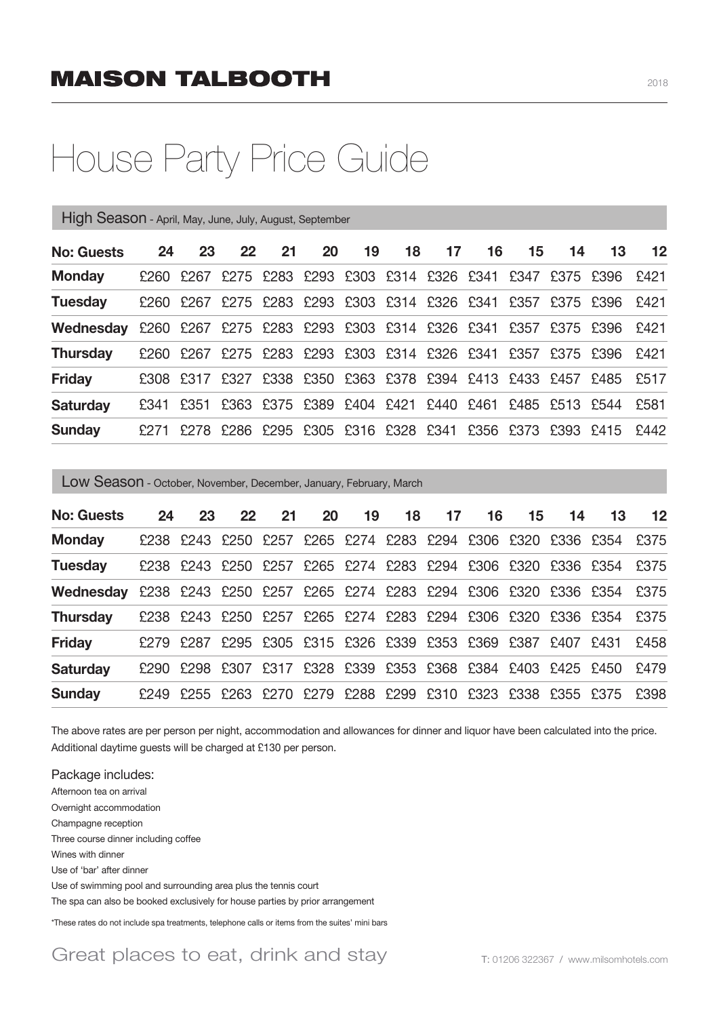## House Party Price Guide

| High Season - April, May, June, July, August, September |        |      |    |    |    |                                    |    |    |    |    |                                                             |    |      |
|---------------------------------------------------------|--------|------|----|----|----|------------------------------------|----|----|----|----|-------------------------------------------------------------|----|------|
| <b>No: Guests</b>                                       | 24     | 23   | 22 | 21 | 20 | 19                                 | 18 | 17 | 16 | 15 | 14                                                          | 13 | 12   |
| <b>Monday</b>                                           | £260 F | £267 |    |    |    |                                    |    |    |    |    | £275 £283 £293 £303 £314 £326 £341 £347 £375 £396           |    | F421 |
| <b>Tuesday</b>                                          | £260 F | £267 |    |    |    | £275 £283 £293 £303 £314 £326 £341 |    |    |    |    | £357 £375 £396                                              |    | F421 |
| Wednesday                                               |        |      |    |    |    |                                    |    |    |    |    | £260 £267 £275 £283 £293 £303 £314 £326 £341 £357 £375 £396 |    | £421 |
| <b>Thursday</b>                                         | £260   | £267 |    |    |    |                                    |    |    |    |    | £275 £283 £293 £303 £314 £326 £341 £357 £375 £396           |    | F421 |
| <b>Friday</b>                                           | £308   | £317 |    |    |    |                                    |    |    |    |    | £327 £338 £350 £363 £378 £394 £413 £433 £457 £485           |    | £517 |
| <b>Saturday</b>                                         | £341   | £351 |    |    |    | £363 £375 £389 £404 £421 £440 £461 |    |    |    |    | £485 £513 £544                                              |    | £581 |
| <b>Sunday</b>                                           | £271   |      |    |    |    |                                    |    |    |    |    | £278 £286 £295 £305 £316 £328 £341 £356 £373 £393 £415      |    | F442 |
|                                                         |        |      |    |    |    |                                    |    |    |    |    |                                                             |    |      |

Low Season - October, November, December, January, February, March

| <b>No: Guests</b>                                                          | 24 | 23                                                          | $22 \,$ | 21 | 20 | 19 | 18 | 17 | 16 | 15 | 14 | 13                                                               | 12   |
|----------------------------------------------------------------------------|----|-------------------------------------------------------------|---------|----|----|----|----|----|----|----|----|------------------------------------------------------------------|------|
| <b>Monday</b>                                                              |    |                                                             |         |    |    |    |    |    |    |    |    | £238 £243 £250 £257 £265 £274 £283 £294 £306 £320 £336 £354 £375 |      |
| <b>Tuesday</b>                                                             |    |                                                             |         |    |    |    |    |    |    |    |    | £238 £243 £250 £257 £265 £274 £283 £294 £306 £320 £336 £354 £375 |      |
| Wednesday £238 £243 £250 £257 £265 £274 £283 £294 £306 £320 £336 £354 £375 |    |                                                             |         |    |    |    |    |    |    |    |    |                                                                  |      |
| <b>Thursday</b>                                                            |    | £238 £243 £250 £257 £265 £274 £283 £294 £306 £320 £336 £354 |         |    |    |    |    |    |    |    |    |                                                                  | £375 |
| <b>Friday</b>                                                              |    | £279 £287 £295 £305 £315 £326 £339 £353 £369 £387 £407 £431 |         |    |    |    |    |    |    |    |    |                                                                  | £458 |
| <b>Saturday</b>                                                            |    | £290 £298 £307 £317 £328 £339 £353 £368 £384 £403 £425 £450 |         |    |    |    |    |    |    |    |    |                                                                  | £479 |
| <b>Sunday</b>                                                              |    | £249 £255 £263 £270 £279 £288 £299 £310 £323 £338 £355 £375 |         |    |    |    |    |    |    |    |    |                                                                  | £398 |

The above rates are per person per night, accommodation and allowances for dinner and liquor have been calculated into the price. Additional daytime guests will be charged at £130 per person.

Package includes: Afternoon tea on arrival Overnight accommodation Champagne reception Three course dinner including coffee Wines with dinner Use of 'bar' after dinner Use of swimming pool and surrounding area plus the tennis court The spa can also be booked exclusively for house parties by prior arrangement

\*These rates do not include spa treatments, telephone calls or items from the suites' mini bars

Great places to eat, drink and stay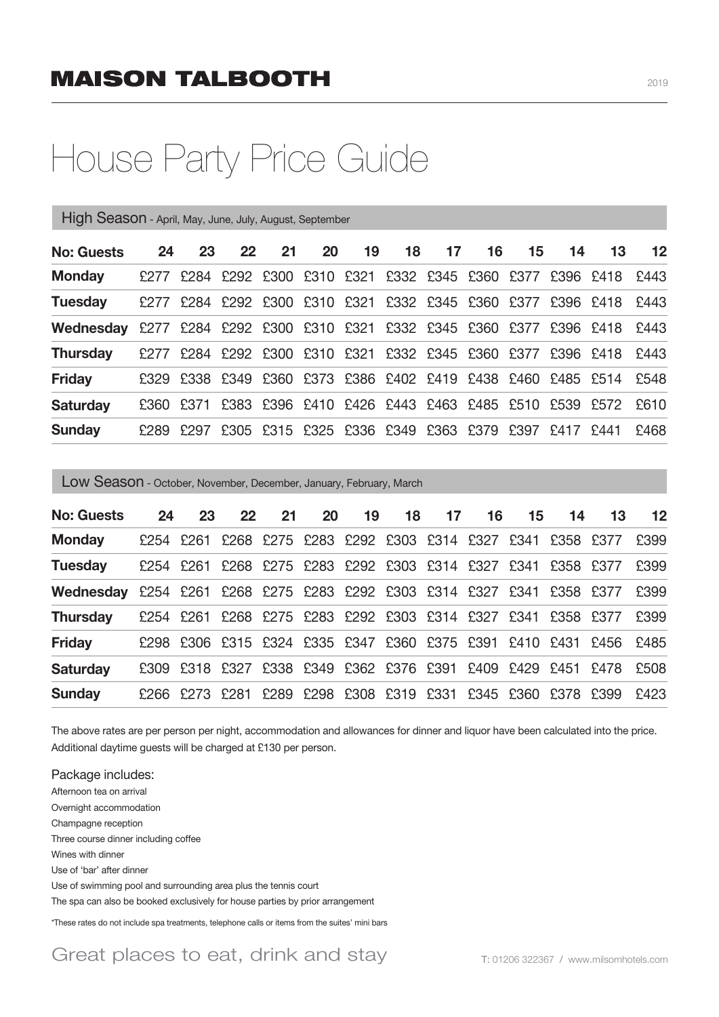## House Party Price Guide

| High Season - April, May, June, July, August, September |      |      |    |    |           |                                              |    |    |    |    |                                                             |      |      |
|---------------------------------------------------------|------|------|----|----|-----------|----------------------------------------------|----|----|----|----|-------------------------------------------------------------|------|------|
| <b>No: Guests</b>                                       | 24   | 23   | 22 | 21 | <b>20</b> | 19                                           | 18 | 17 | 16 | 15 | 14                                                          | 13   | 12   |
| <b>Monday</b>                                           | £277 |      |    |    |           | £284 £292 £300 £310 £321 £332 £345 £360 £377 |    |    |    |    | £396 £418                                                   |      | £443 |
| <b>Tuesday</b>                                          | £277 |      |    |    |           |                                              |    |    |    |    | £284 £292 £300 £310 £321 £332 £345 £360 £377 £396 £418      |      | £443 |
| Wednesdav                                               |      |      |    |    |           |                                              |    |    |    |    | £277 £284 £292 £300 £310 £321 £332 £345 £360 £377 £396 £418 |      | £443 |
| <b>Thursday</b>                                         | £277 |      |    |    |           |                                              |    |    |    |    | £284 £292 £300 £310 £321 £332 £345 £360 £377 £396 £418      |      | £443 |
| <b>Friday</b>                                           |      |      |    |    |           |                                              |    |    |    |    | £329 £338 £349 £360 £373 £386 £402 £419 £438 £460 £485 £514 |      | £548 |
| <b>Saturday</b>                                         | £360 |      |    |    |           |                                              |    |    |    |    | £371 £383 £396 £410 £426 £443 £463 £485 £510 £539 £572      |      | £610 |
| <b>Sunday</b>                                           | £289 | £297 |    |    |           | £305 £315 £325 £336 £349 £363 £379 £397      |    |    |    |    | £417                                                        | £441 | £468 |
|                                                         |      |      |    |    |           |                                              |    |    |    |    |                                                             |      |      |

Low Season - October, November, December, January, February, March

| <b>No: Guests</b>                                                     | 24 | 23                                                          | 22 | 21 | <b>20</b>                                    | 19 | 18 | 17 | 16 | 15 <sub>1</sub> | 14 | 13                                                               | 12   |
|-----------------------------------------------------------------------|----|-------------------------------------------------------------|----|----|----------------------------------------------|----|----|----|----|-----------------|----|------------------------------------------------------------------|------|
| <b>Monday</b>                                                         |    | £254 £261 £268 £275 £283 £292 £303 £314 £327 £341 £358 £377 |    |    |                                              |    |    |    |    |                 |    |                                                                  | £399 |
| <b>Tuesday</b>                                                        |    | £254 £261 £268 £275 £283 £292 £303 £314 £327 £341 £358 £377 |    |    |                                              |    |    |    |    |                 |    |                                                                  | £399 |
| Wednesday £254 £261 £268 £275 £283 £292 £303 £314 £327 £341 £358 £377 |    |                                                             |    |    |                                              |    |    |    |    |                 |    |                                                                  | £399 |
| <b>Thursday</b>                                                       |    | £254 £261 £268 £275 £283 £292 £303 £314 £327 £341 £358 £377 |    |    |                                              |    |    |    |    |                 |    |                                                                  | £399 |
| <b>Friday</b>                                                         |    |                                                             |    |    |                                              |    |    |    |    |                 |    | £298 £306 £315 £324 £335 £347 £360 £375 £391 £410 £431 £456 £485 |      |
| <b>Saturday</b>                                                       |    | £309 £318 £327 £338 £349 £362 £376 £391 £409 £429 £451 £478 |    |    |                                              |    |    |    |    |                 |    |                                                                  | £508 |
| <b>Sunday</b>                                                         |    | £266 £273 £281                                              |    |    | £289 £298 £308 £319 £331 £345 £360 £378 £399 |    |    |    |    |                 |    |                                                                  | £423 |

The above rates are per person per night, accommodation and allowances for dinner and liquor have been calculated into the price. Additional daytime guests will be charged at £130 per person.

Package includes: Afternoon tea on arrival Overnight accommodation Champagne reception Three course dinner including coffee Wines with dinner Use of 'bar' after dinner Use of swimming pool and surrounding area plus the tennis court The spa can also be booked exclusively for house parties by prior arrangement

\*These rates do not include spa treatments, telephone calls or items from the suites' mini bars

Great places to eat, drink and stay